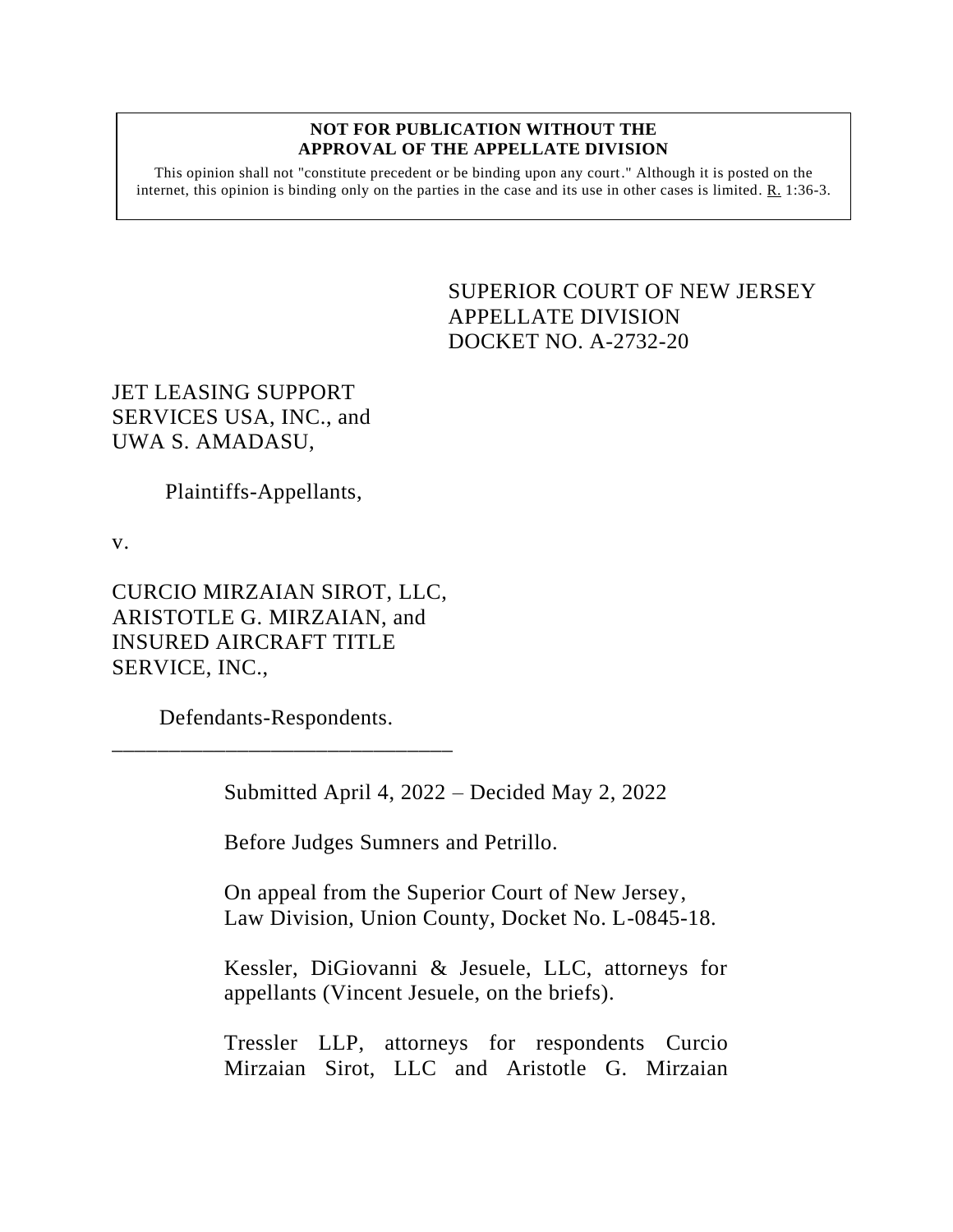#### **NOT FOR PUBLICATION WITHOUT THE APPROVAL OF THE APPELLATE DIVISION**

This opinion shall not "constitute precedent or be binding upon any court." Although it is posted on the internet, this opinion is binding only on the parties in the case and its use in other cases is limited.  $R_1$  1:36-3.

> SUPERIOR COURT OF NEW JERSEY APPELLATE DIVISION DOCKET NO. A-2732-20

JET LEASING SUPPORT SERVICES USA, INC., and UWA S. AMADASU,

Plaintiffs-Appellants,

v.

CURCIO MIRZAIAN SIROT, LLC, ARISTOTLE G. MIRZAIAN, and INSURED AIRCRAFT TITLE SERVICE, INC.,

 Defendants-Respondents. \_\_\_\_\_\_\_\_\_\_\_\_\_\_\_\_\_\_\_\_\_\_\_\_\_\_\_\_\_\_

Submitted April 4, 2022 – Decided May 2, 2022

Before Judges Sumners and Petrillo.

On appeal from the Superior Court of New Jersey, Law Division, Union County, Docket No. L-0845-18.

Kessler, DiGiovanni & Jesuele, LLC, attorneys for appellants (Vincent Jesuele, on the briefs).

Tressler LLP, attorneys for respondents Curcio Mirzaian Sirot, LLC and Aristotle G. Mirzaian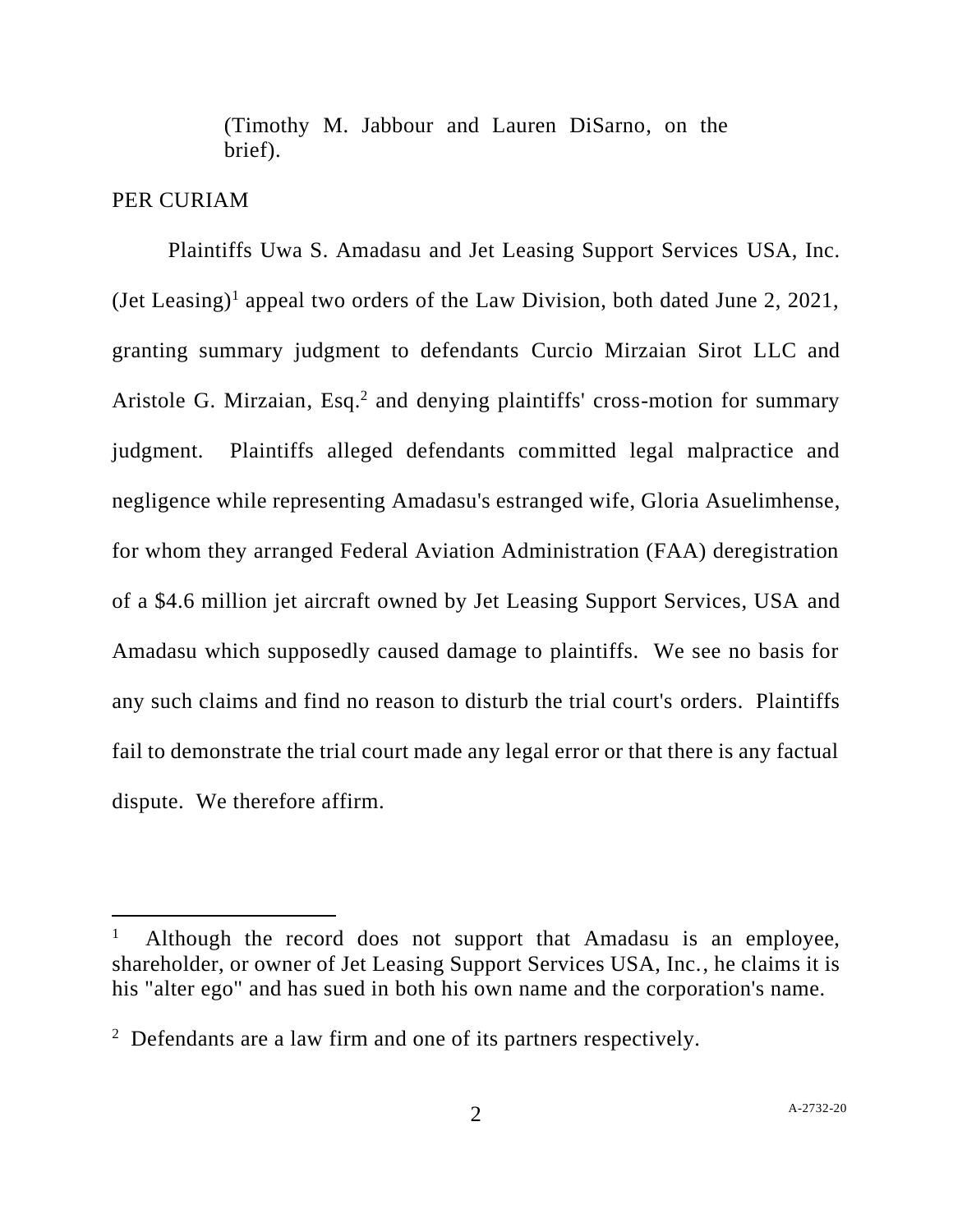(Timothy M. Jabbour and Lauren DiSarno, on the brief).

## PER CURIAM

Plaintiffs Uwa S. Amadasu and Jet Leasing Support Services USA, Inc.  $(Iet Leasing)<sup>1</sup>$  appeal two orders of the Law Division, both dated June 2, 2021, granting summary judgment to defendants Curcio Mirzaian Sirot LLC and Aristole G. Mirzaian, Esq.<sup>2</sup> and denying plaintiffs' cross-motion for summary judgment. Plaintiffs alleged defendants committed legal malpractice and negligence while representing Amadasu's estranged wife, Gloria Asuelimhense, for whom they arranged Federal Aviation Administration (FAA) deregistration of a \$4.6 million jet aircraft owned by Jet Leasing Support Services, USA and Amadasu which supposedly caused damage to plaintiffs. We see no basis for any such claims and find no reason to disturb the trial court's orders. Plaintiffs fail to demonstrate the trial court made any legal error or that there is any factual dispute. We therefore affirm.

<sup>1</sup> Although the record does not support that Amadasu is an employee, shareholder, or owner of Jet Leasing Support Services USA, Inc., he claims it is his "alter ego" and has sued in both his own name and the corporation's name.

 $2$  Defendants are a law firm and one of its partners respectively.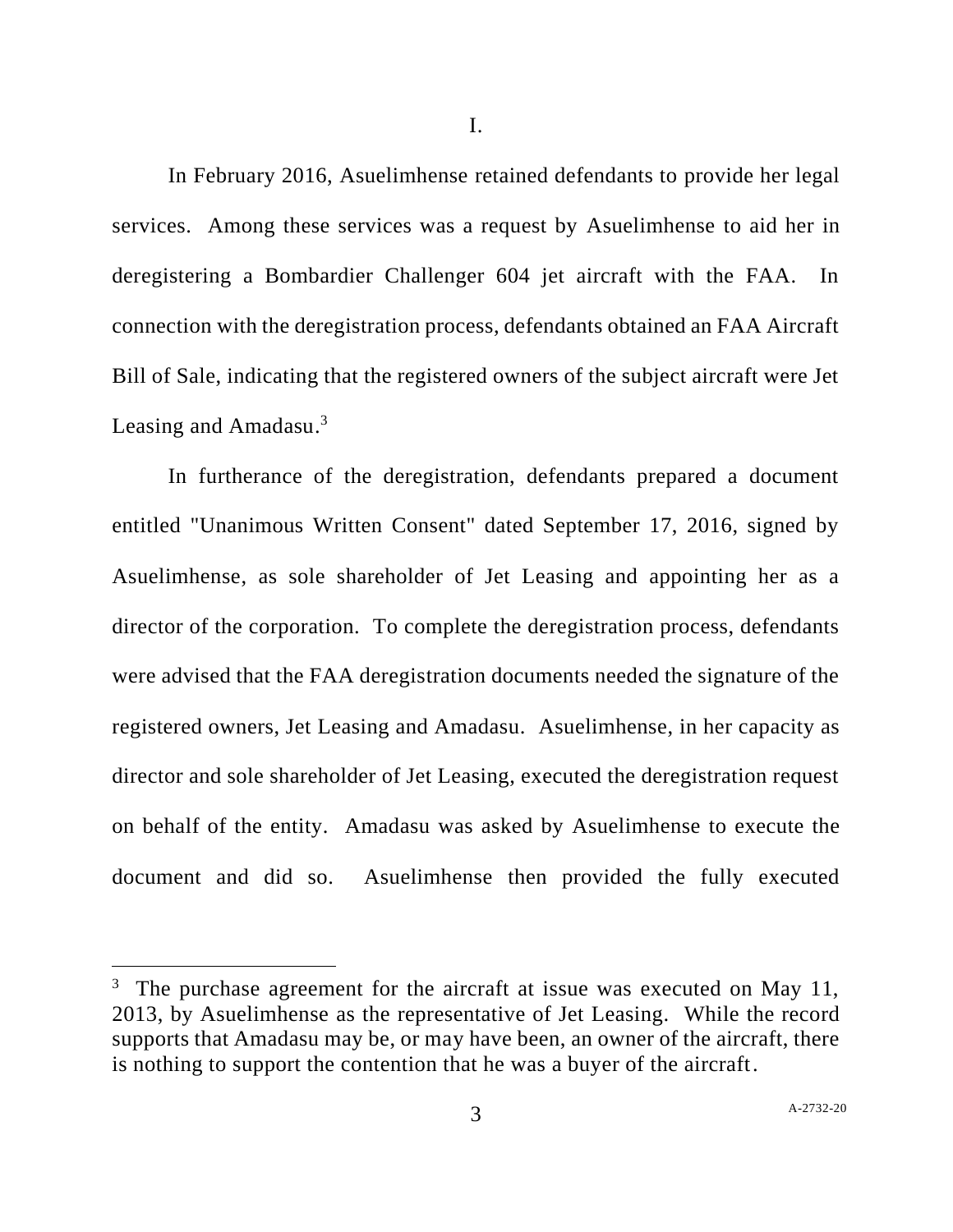I.

In February 2016, Asuelimhense retained defendants to provide her legal services. Among these services was a request by Asuelimhense to aid her in deregistering a Bombardier Challenger 604 jet aircraft with the FAA. In connection with the deregistration process, defendants obtained an FAA Aircraft Bill of Sale, indicating that the registered owners of the subject aircraft were Jet Leasing and Amadasu.<sup>3</sup>

In furtherance of the deregistration, defendants prepared a document entitled "Unanimous Written Consent" dated September 17, 2016, signed by Asuelimhense, as sole shareholder of Jet Leasing and appointing her as a director of the corporation. To complete the deregistration process, defendants were advised that the FAA deregistration documents needed the signature of the registered owners, Jet Leasing and Amadasu. Asuelimhense, in her capacity as director and sole shareholder of Jet Leasing, executed the deregistration request on behalf of the entity. Amadasu was asked by Asuelimhense to execute the document and did so. Asuelimhense then provided the fully executed

<sup>&</sup>lt;sup>3</sup> The purchase agreement for the aircraft at issue was executed on May 11, 2013, by Asuelimhense as the representative of Jet Leasing. While the record supports that Amadasu may be, or may have been, an owner of the aircraft, there is nothing to support the contention that he was a buyer of the aircraft.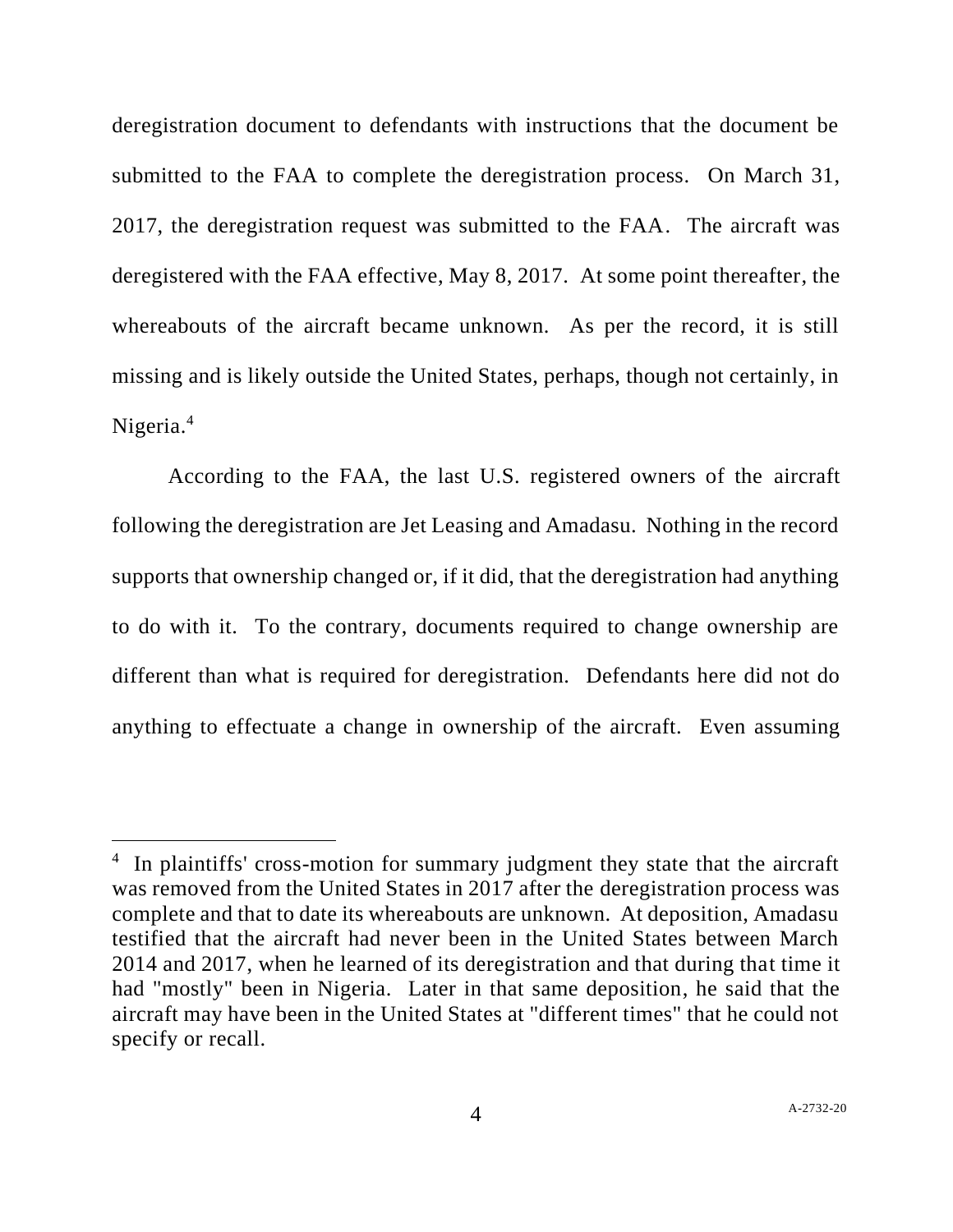deregistration document to defendants with instructions that the document be submitted to the FAA to complete the deregistration process. On March 31, 2017, the deregistration request was submitted to the FAA. The aircraft was deregistered with the FAA effective, May 8, 2017. At some point thereafter, the whereabouts of the aircraft became unknown. As per the record, it is still missing and is likely outside the United States, perhaps, though not certainly, in Nigeria.<sup>4</sup>

According to the FAA, the last U.S. registered owners of the aircraft following the deregistration are Jet Leasing and Amadasu. Nothing in the record supports that ownership changed or, if it did, that the deregistration had anything to do with it. To the contrary, documents required to change ownership are different than what is required for deregistration. Defendants here did not do anything to effectuate a change in ownership of the aircraft. Even assuming

<sup>&</sup>lt;sup>4</sup> In plaintiffs' cross-motion for summary judgment they state that the aircraft was removed from the United States in 2017 after the deregistration process was complete and that to date its whereabouts are unknown. At deposition, Amadasu testified that the aircraft had never been in the United States between March 2014 and 2017, when he learned of its deregistration and that during that time it had "mostly" been in Nigeria. Later in that same deposition, he said that the aircraft may have been in the United States at "different times" that he could not specify or recall.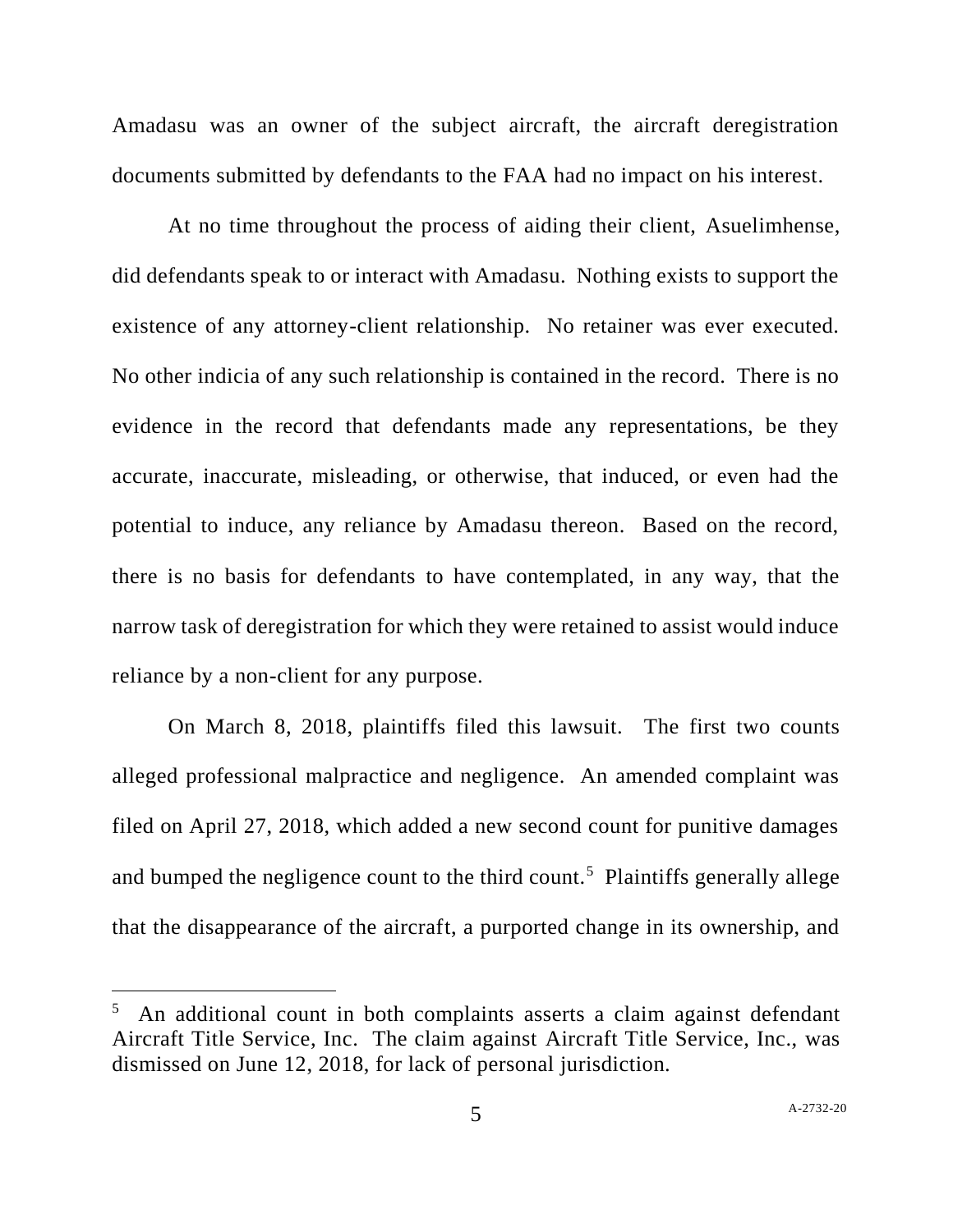Amadasu was an owner of the subject aircraft, the aircraft deregistration documents submitted by defendants to the FAA had no impact on his interest.

At no time throughout the process of aiding their client, Asuelimhense, did defendants speak to or interact with Amadasu. Nothing exists to support the existence of any attorney-client relationship. No retainer was ever executed. No other indicia of any such relationship is contained in the record. There is no evidence in the record that defendants made any representations, be they accurate, inaccurate, misleading, or otherwise, that induced, or even had the potential to induce, any reliance by Amadasu thereon. Based on the record, there is no basis for defendants to have contemplated, in any way, that the narrow task of deregistration for which they were retained to assist would induce reliance by a non-client for any purpose.

On March 8, 2018, plaintiffs filed this lawsuit. The first two counts alleged professional malpractice and negligence. An amended complaint was filed on April 27, 2018, which added a new second count for punitive damages and bumped the negligence count to the third count.<sup>5</sup> Plaintiffs generally allege that the disappearance of the aircraft, a purported change in its ownership, and

<sup>5</sup> An additional count in both complaints asserts a claim against defendant Aircraft Title Service, Inc. The claim against Aircraft Title Service, Inc., was dismissed on June 12, 2018, for lack of personal jurisdiction.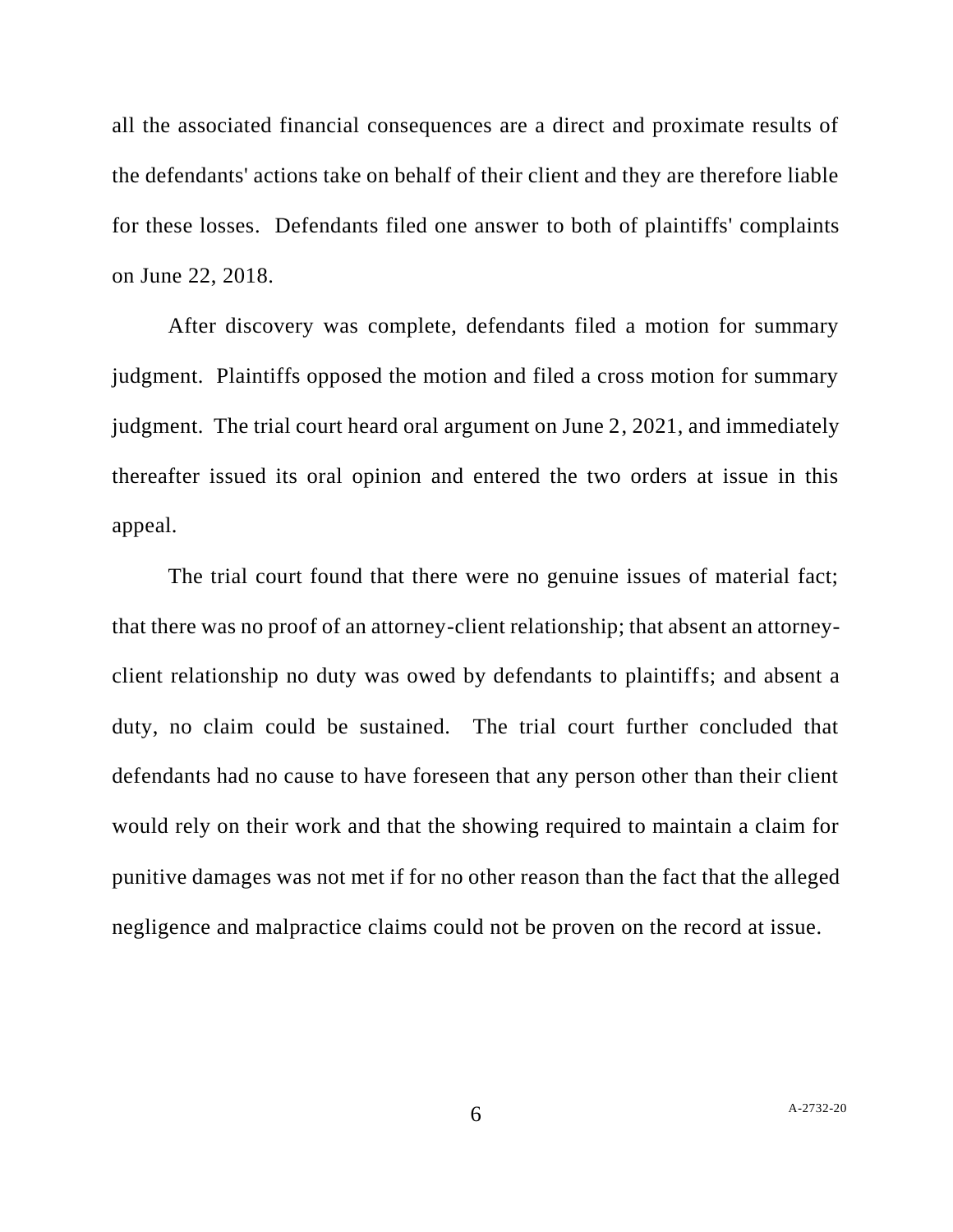all the associated financial consequences are a direct and proximate results of the defendants' actions take on behalf of their client and they are therefore liable for these losses. Defendants filed one answer to both of plaintiffs' complaints on June 22, 2018.

After discovery was complete, defendants filed a motion for summary judgment. Plaintiffs opposed the motion and filed a cross motion for summary judgment. The trial court heard oral argument on June 2, 2021, and immediately thereafter issued its oral opinion and entered the two orders at issue in this appeal.

The trial court found that there were no genuine issues of material fact; that there was no proof of an attorney-client relationship; that absent an attorneyclient relationship no duty was owed by defendants to plaintiffs; and absent a duty, no claim could be sustained. The trial court further concluded that defendants had no cause to have foreseen that any person other than their client would rely on their work and that the showing required to maintain a claim for punitive damages was not met if for no other reason than the fact that the alleged negligence and malpractice claims could not be proven on the record at issue.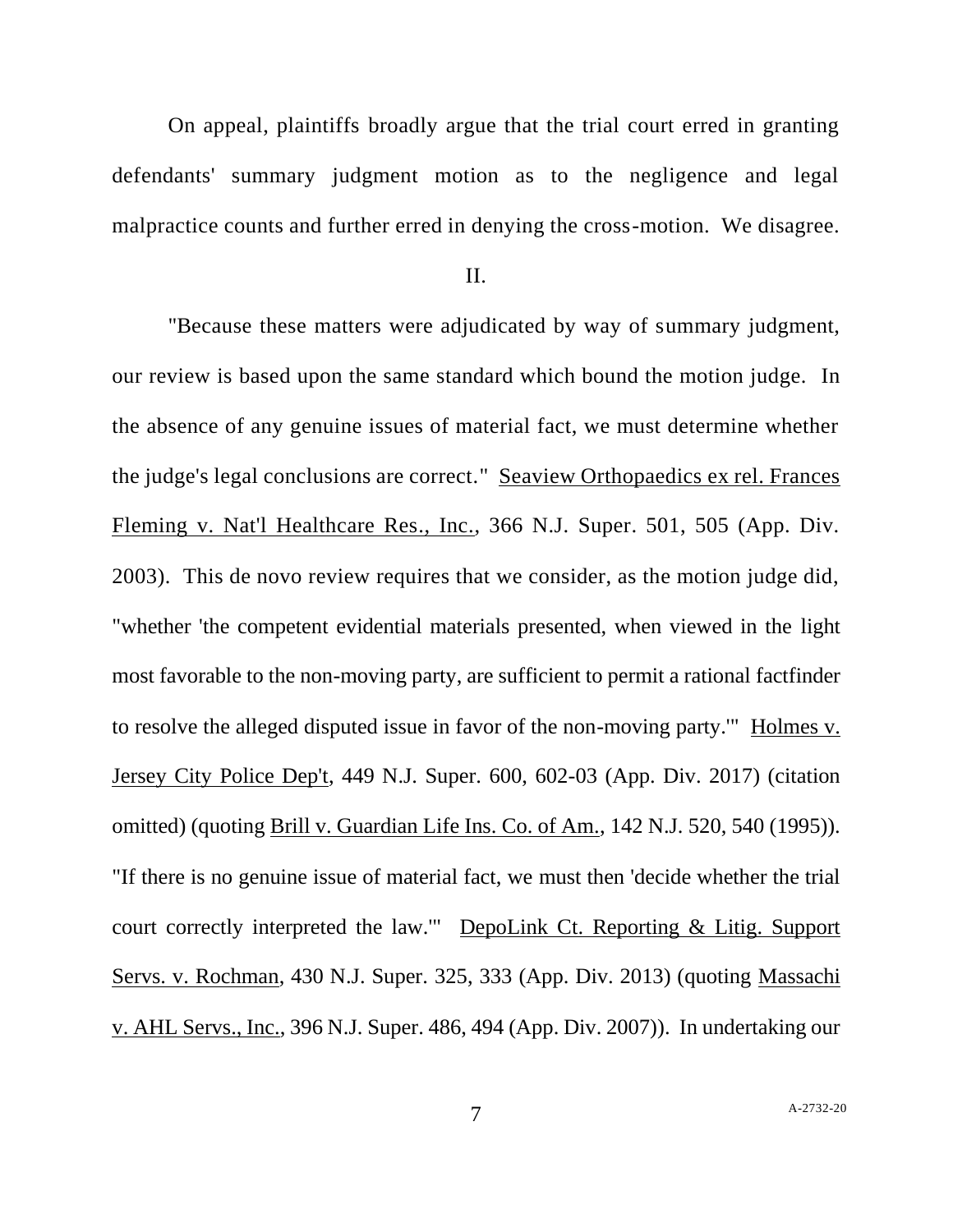On appeal, plaintiffs broadly argue that the trial court erred in granting defendants' summary judgment motion as to the negligence and legal malpractice counts and further erred in denying the cross-motion. We disagree.

### II.

"Because these matters were adjudicated by way of summary judgment, our review is based upon the same standard which bound the motion judge. In the absence of any genuine issues of material fact, we must determine whether the judge's legal conclusions are correct." Seaview Orthopaedics ex rel. Frances Fleming v. Nat'l Healthcare Res., Inc., 366 N.J. Super. 501, 505 (App. Div. 2003). This de novo review requires that we consider, as the motion judge did, "whether 'the competent evidential materials presented, when viewed in the light most favorable to the non-moving party, are sufficient to permit a rational factfinder to resolve the alleged disputed issue in favor of the non-moving party.'" Holmes v. Jersey City Police Dep't, 449 N.J. Super. 600, 602-03 (App. Div. 2017) (citation omitted) (quoting Brill v. Guardian Life Ins. Co. of Am., 142 N.J. 520, 540 (1995)). "If there is no genuine issue of material fact, we must then 'decide whether the trial court correctly interpreted the law.'" DepoLink Ct. Reporting & Litig. Support Servs. v. Rochman, 430 N.J. Super. 325, 333 (App. Div. 2013) (quoting Massachi v. AHL Servs., Inc., 396 N.J. Super. 486, 494 (App. Div. 2007)). In undertaking our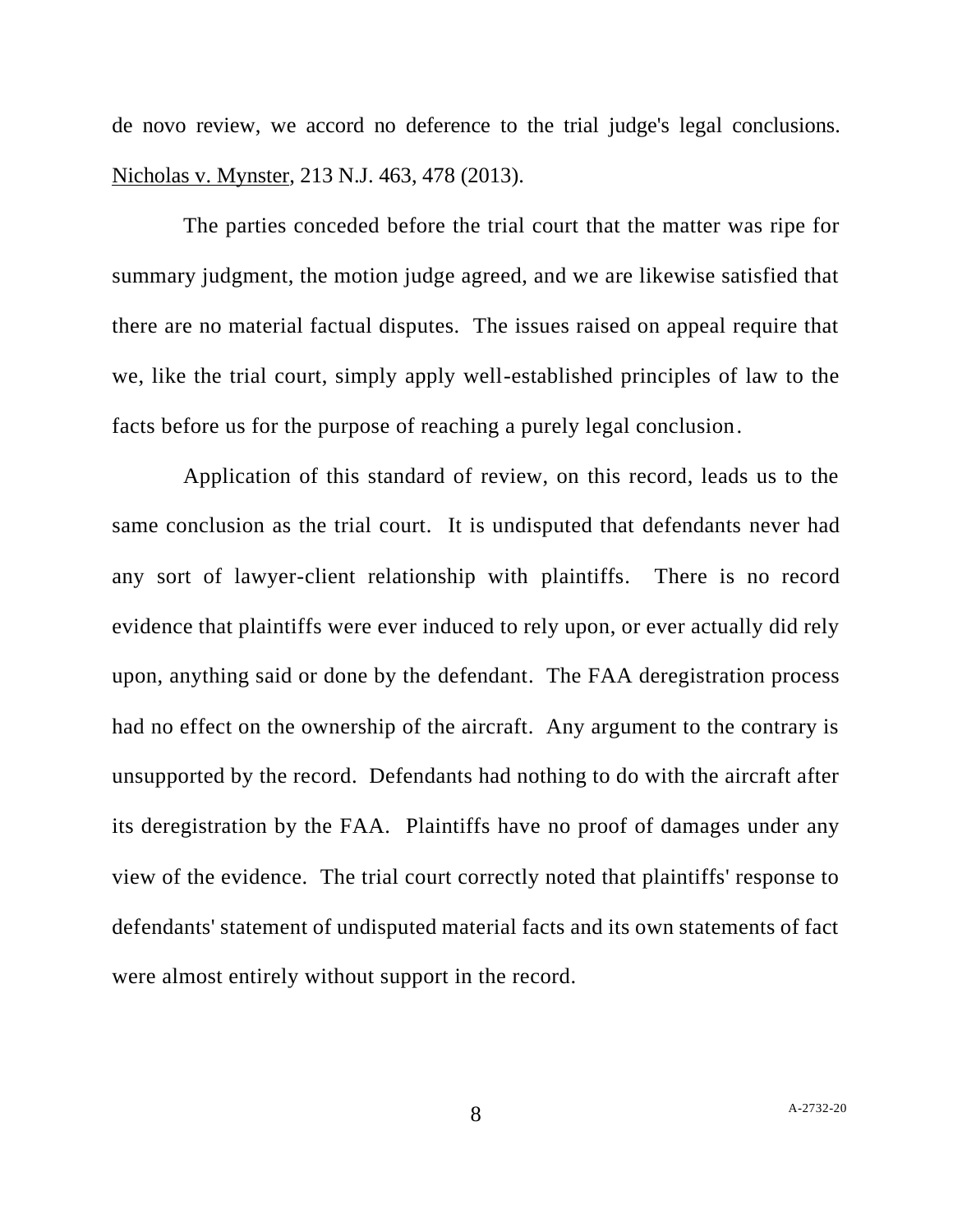de novo review, we accord no deference to the trial judge's legal conclusions. Nicholas v. Mynster, 213 N.J. 463, 478 (2013).

The parties conceded before the trial court that the matter was ripe for summary judgment, the motion judge agreed, and we are likewise satisfied that there are no material factual disputes. The issues raised on appeal require that we, like the trial court, simply apply well-established principles of law to the facts before us for the purpose of reaching a purely legal conclusion.

Application of this standard of review, on this record, leads us to the same conclusion as the trial court. It is undisputed that defendants never had any sort of lawyer-client relationship with plaintiffs. There is no record evidence that plaintiffs were ever induced to rely upon, or ever actually did rely upon, anything said or done by the defendant. The FAA deregistration process had no effect on the ownership of the aircraft. Any argument to the contrary is unsupported by the record. Defendants had nothing to do with the aircraft after its deregistration by the FAA. Plaintiffs have no proof of damages under any view of the evidence. The trial court correctly noted that plaintiffs' response to defendants' statement of undisputed material facts and its own statements of fact were almost entirely without support in the record.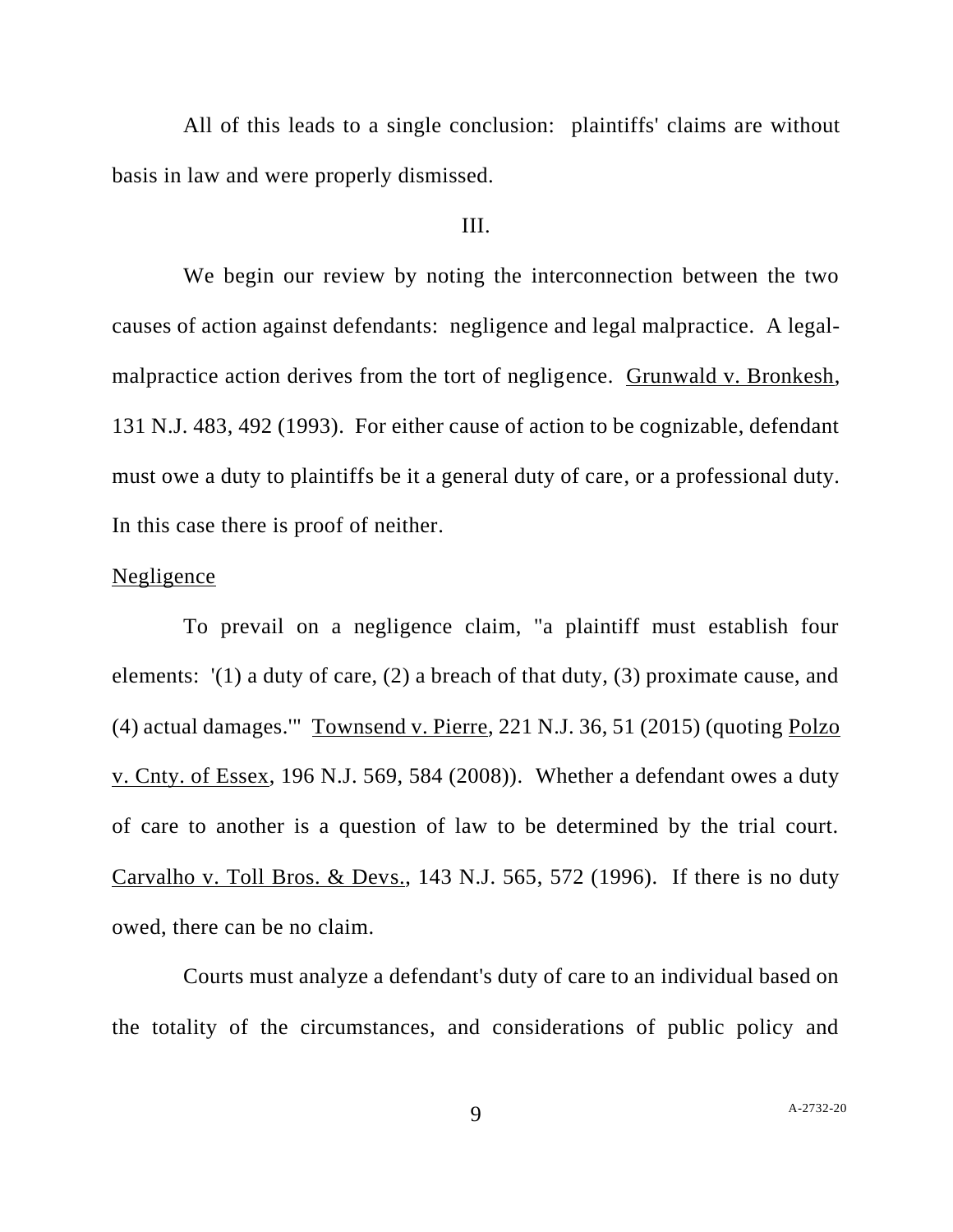All of this leads to a single conclusion: plaintiffs' claims are without basis in law and were properly dismissed.

### III.

We begin our review by noting the interconnection between the two causes of action against defendants: negligence and legal malpractice. A legalmalpractice action derives from the tort of negligence. Grunwald v. Bronkesh, 131 N.J. 483, 492 (1993). For either cause of action to be cognizable, defendant must owe a duty to plaintiffs be it a general duty of care, or a professional duty. In this case there is proof of neither.

### Negligence

To prevail on a negligence claim, "a plaintiff must establish four elements: '(1) a duty of care, (2) a breach of that duty, (3) proximate cause, and (4) actual damages.'" Townsend v. Pierre, 221 N.J. 36, 51 (2015) (quoting Polzo v. Cnty. of Essex, 196 N.J. 569, 584 (2008)). Whether a defendant owes a duty of care to another is a question of law to be determined by the trial court. Carvalho v. Toll Bros. & Devs., 143 N.J. 565, 572 (1996). If there is no duty owed, there can be no claim.

Courts must analyze a defendant's duty of care to an individual based on the totality of the circumstances, and considerations of public policy and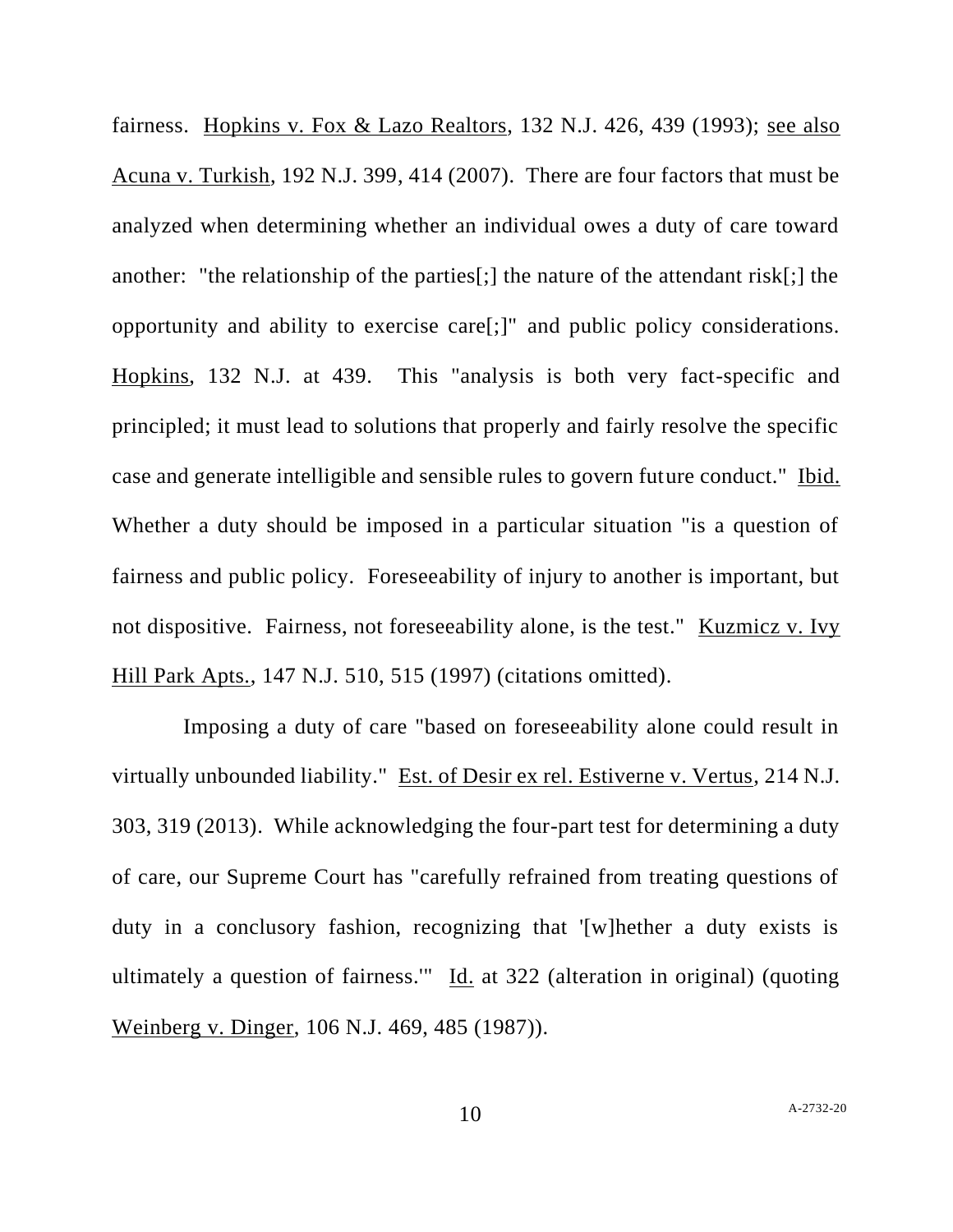fairness. Hopkins v. Fox & Lazo Realtors, 132 N.J. 426, 439 (1993); see also Acuna v. Turkish, 192 N.J. 399, 414 (2007). There are four factors that must be analyzed when determining whether an individual owes a duty of care toward another: "the relationship of the parties[;] the nature of the attendant risk[;] the opportunity and ability to exercise care[;]" and public policy considerations. Hopkins, 132 N.J. at 439. This "analysis is both very fact-specific and principled; it must lead to solutions that properly and fairly resolve the specific case and generate intelligible and sensible rules to govern future conduct." Ibid. Whether a duty should be imposed in a particular situation "is a question of fairness and public policy. Foreseeability of injury to another is important, but not dispositive. Fairness, not foreseeability alone, is the test." Kuzmicz v. Ivy Hill Park Apts., 147 N.J. 510, 515 (1997) (citations omitted).

Imposing a duty of care "based on foreseeability alone could result in virtually unbounded liability." Est. of Desir ex rel. Estiverne v. Vertus, 214 N.J. 303, 319 (2013). While acknowledging the four-part test for determining a duty of care, our Supreme Court has "carefully refrained from treating questions of duty in a conclusory fashion, recognizing that '[w]hether a duty exists is ultimately a question of fairness.'" Id. at 322 (alteration in original) (quoting Weinberg v. Dinger, 106 N.J. 469, 485 (1987)).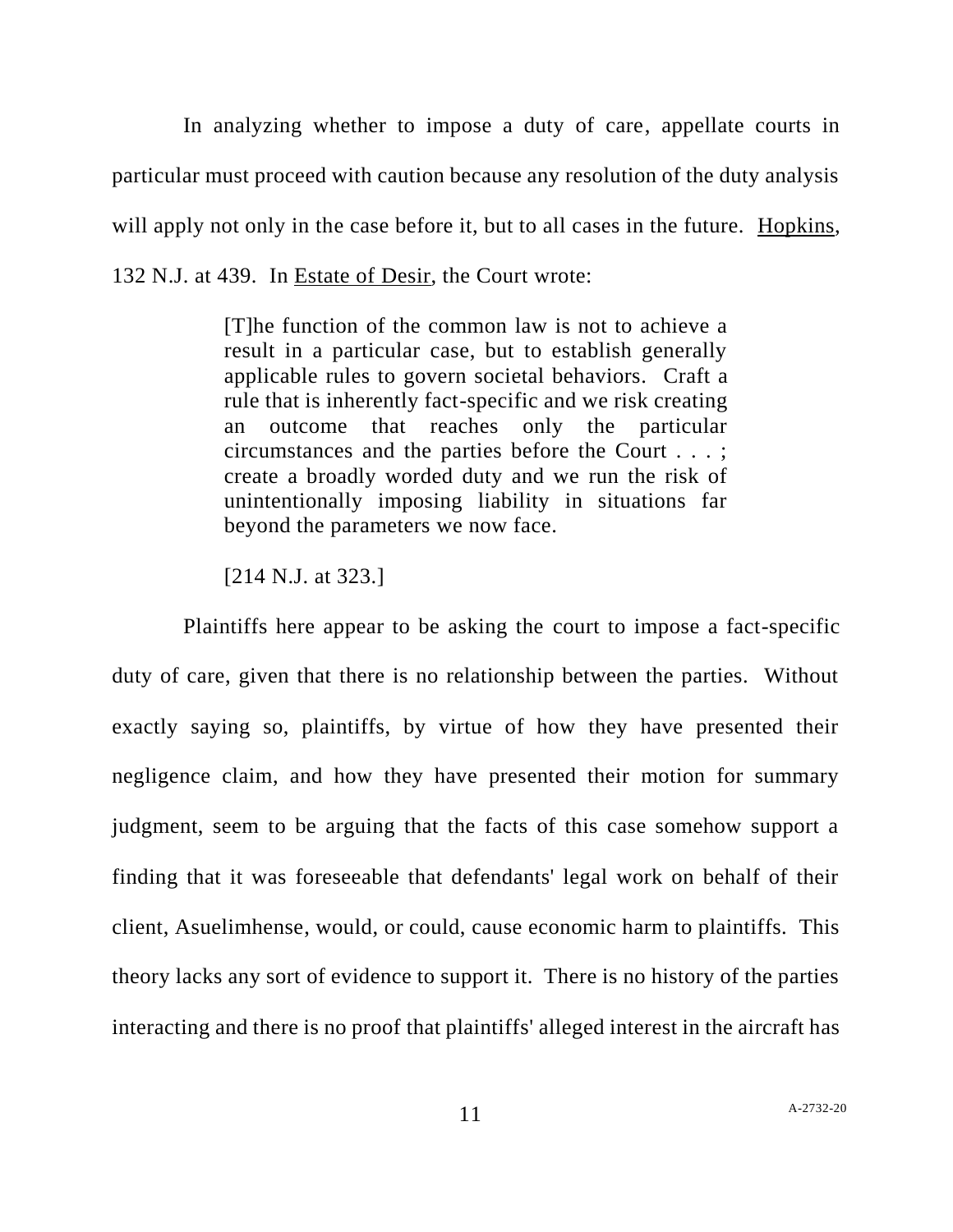In analyzing whether to impose a duty of care, appellate courts in particular must proceed with caution because any resolution of the duty analysis will apply not only in the case before it, but to all cases in the future. Hopkins, 132 N.J. at 439. In Estate of Desir, the Court wrote:

> [T]he function of the common law is not to achieve a result in a particular case, but to establish generally applicable rules to govern societal behaviors. Craft a rule that is inherently fact-specific and we risk creating an outcome that reaches only the particular circumstances and the parties before the Court . . . ; create a broadly worded duty and we run the risk of unintentionally imposing liability in situations far beyond the parameters we now face.

[214 N.J. at 323.]

Plaintiffs here appear to be asking the court to impose a fact-specific duty of care, given that there is no relationship between the parties. Without exactly saying so, plaintiffs, by virtue of how they have presented their negligence claim, and how they have presented their motion for summary judgment, seem to be arguing that the facts of this case somehow support a finding that it was foreseeable that defendants' legal work on behalf of their client, Asuelimhense, would, or could, cause economic harm to plaintiffs. This theory lacks any sort of evidence to support it. There is no history of the parties interacting and there is no proof that plaintiffs' alleged interest in the aircraft has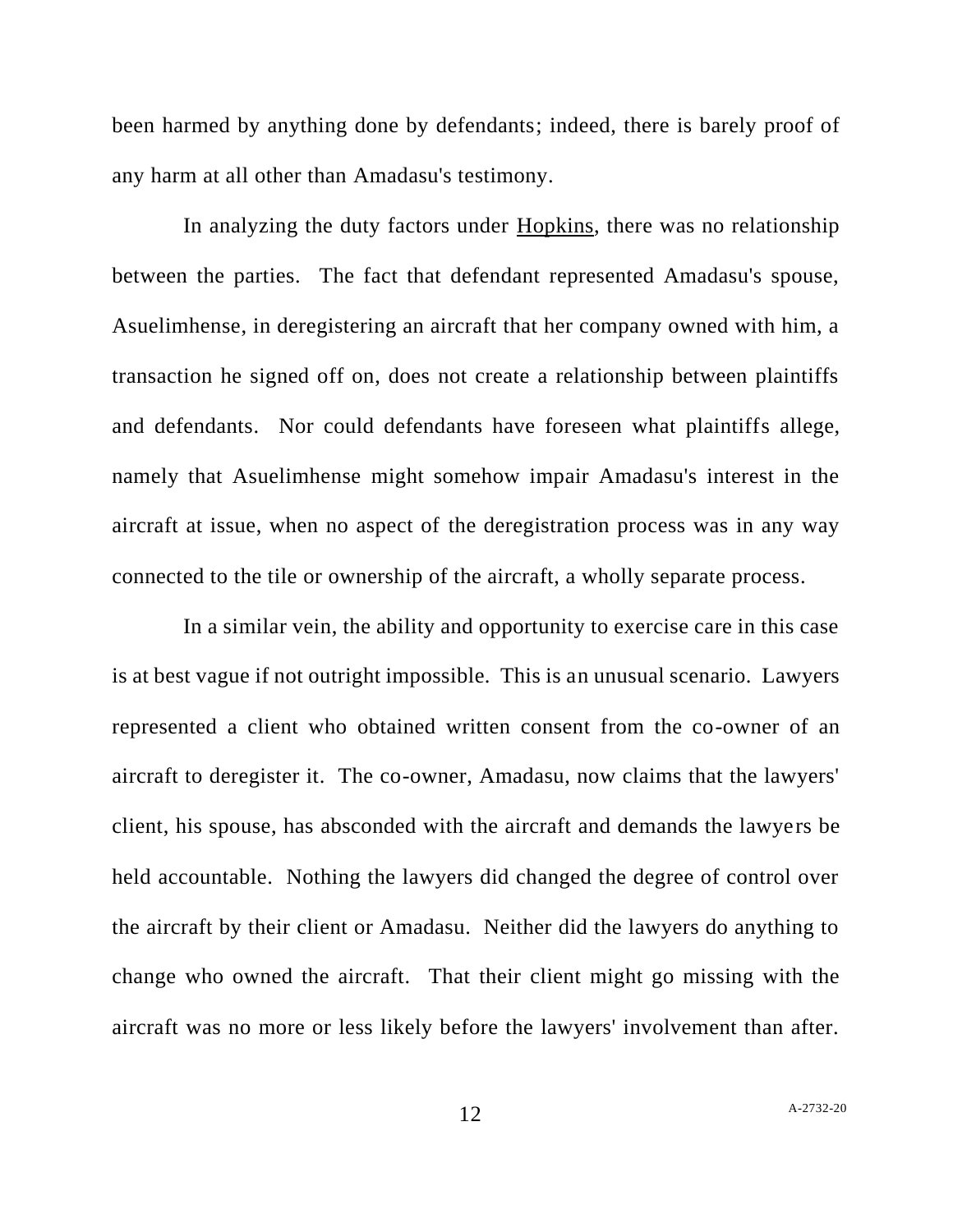been harmed by anything done by defendants; indeed, there is barely proof of any harm at all other than Amadasu's testimony.

In analyzing the duty factors under Hopkins, there was no relationship between the parties. The fact that defendant represented Amadasu's spouse, Asuelimhense, in deregistering an aircraft that her company owned with him, a transaction he signed off on, does not create a relationship between plaintiffs and defendants. Nor could defendants have foreseen what plaintiffs allege, namely that Asuelimhense might somehow impair Amadasu's interest in the aircraft at issue, when no aspect of the deregistration process was in any way connected to the tile or ownership of the aircraft, a wholly separate process.

In a similar vein, the ability and opportunity to exercise care in this case is at best vague if not outright impossible. This is an unusual scenario. Lawyers represented a client who obtained written consent from the co-owner of an aircraft to deregister it. The co-owner, Amadasu, now claims that the lawyers' client, his spouse, has absconded with the aircraft and demands the lawyers be held accountable. Nothing the lawyers did changed the degree of control over the aircraft by their client or Amadasu. Neither did the lawyers do anything to change who owned the aircraft. That their client might go missing with the aircraft was no more or less likely before the lawyers' involvement than after.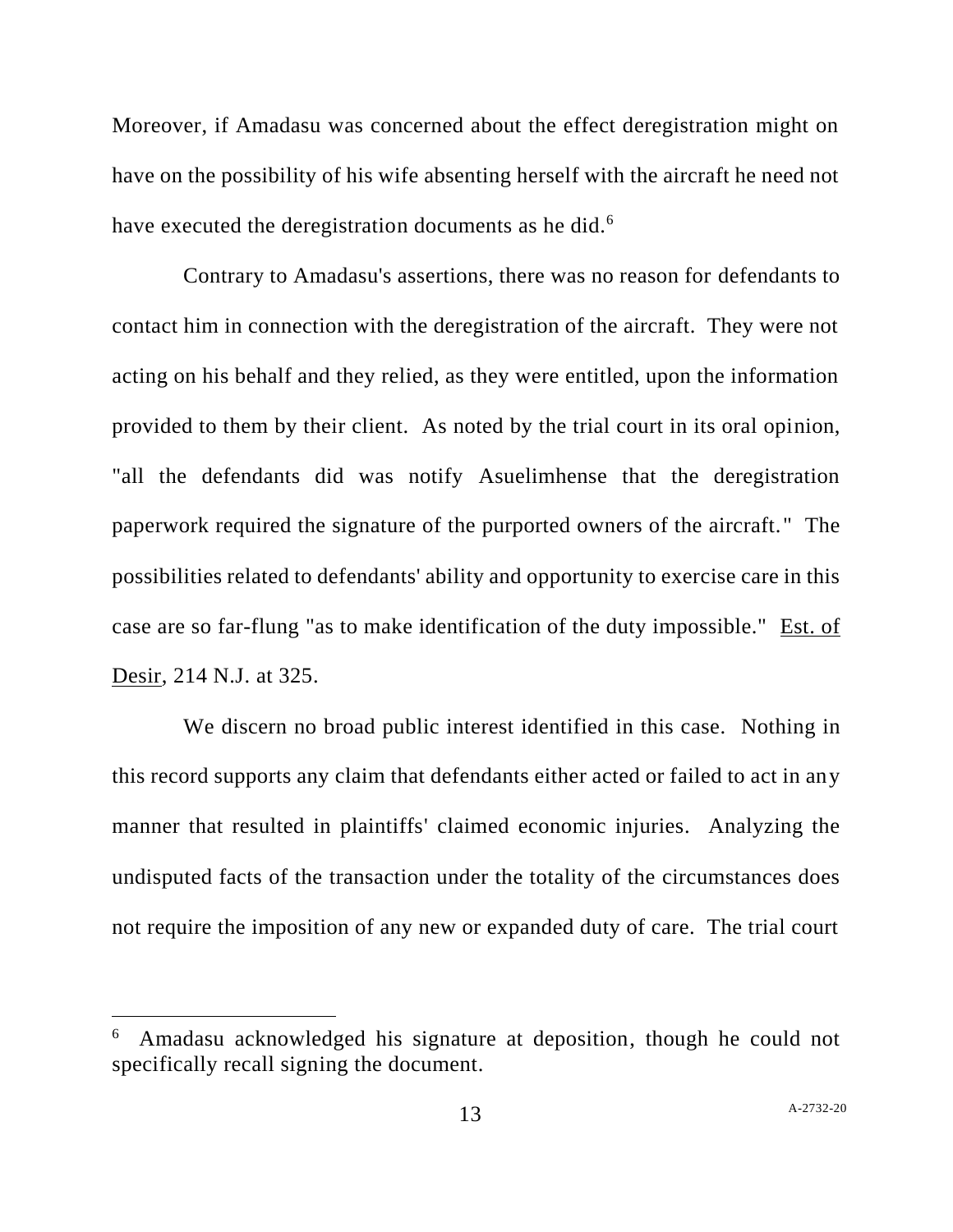Moreover, if Amadasu was concerned about the effect deregistration might on have on the possibility of his wife absenting herself with the aircraft he need not have executed the deregistration documents as he did.<sup>6</sup>

Contrary to Amadasu's assertions, there was no reason for defendants to contact him in connection with the deregistration of the aircraft. They were not acting on his behalf and they relied, as they were entitled, upon the information provided to them by their client. As noted by the trial court in its oral opinion, "all the defendants did was notify Asuelimhense that the deregistration paperwork required the signature of the purported owners of the aircraft." The possibilities related to defendants' ability and opportunity to exercise care in this case are so far-flung "as to make identification of the duty impossible." Est. of Desir, 214 N.J. at 325.

We discern no broad public interest identified in this case. Nothing in this record supports any claim that defendants either acted or failed to act in any manner that resulted in plaintiffs' claimed economic injuries. Analyzing the undisputed facts of the transaction under the totality of the circumstances does not require the imposition of any new or expanded duty of care. The trial court

<sup>6</sup> Amadasu acknowledged his signature at deposition, though he could not specifically recall signing the document.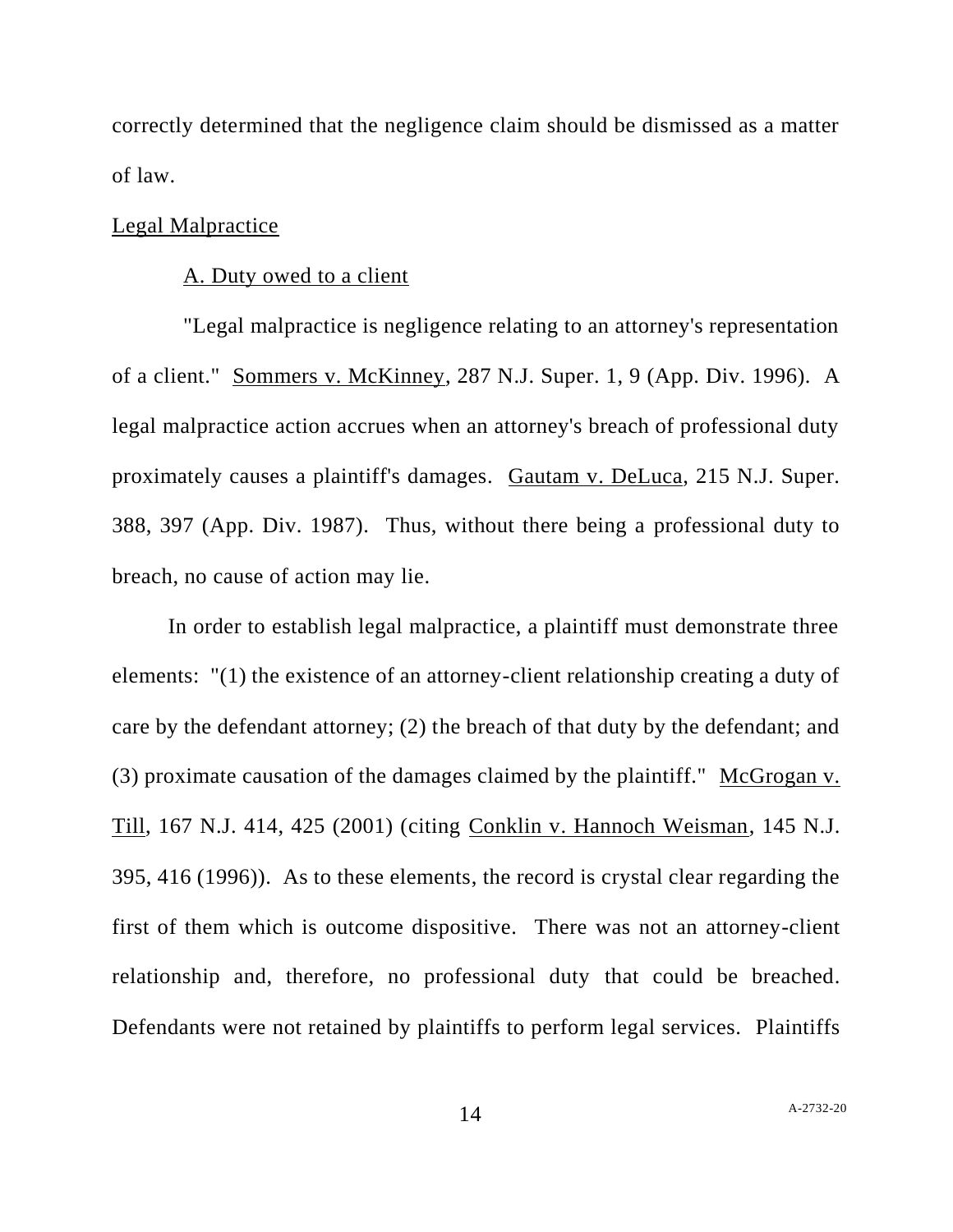correctly determined that the negligence claim should be dismissed as a matter of law.

# Legal Malpractice

### A. Duty owed to a client

"Legal malpractice is negligence relating to an attorney's representation of a client." Sommers v. McKinney, 287 N.J. Super. 1, 9 (App. Div. 1996). A legal malpractice action accrues when an attorney's breach of professional duty proximately causes a plaintiff's damages. Gautam v. DeLuca, 215 N.J. Super. 388, 397 (App. Div. 1987). Thus, without there being a professional duty to breach, no cause of action may lie.

In order to establish legal malpractice, a plaintiff must demonstrate three elements: "(1) the existence of an attorney-client relationship creating a duty of care by the defendant attorney; (2) the breach of that duty by the defendant; and (3) proximate causation of the damages claimed by the plaintiff." McGrogan v. Till, 167 N.J. 414, 425 (2001) (citing Conklin v. Hannoch Weisman, 145 N.J. 395, 416 (1996)). As to these elements, the record is crystal clear regarding the first of them which is outcome dispositive. There was not an attorney-client relationship and, therefore, no professional duty that could be breached. Defendants were not retained by plaintiffs to perform legal services. Plaintiffs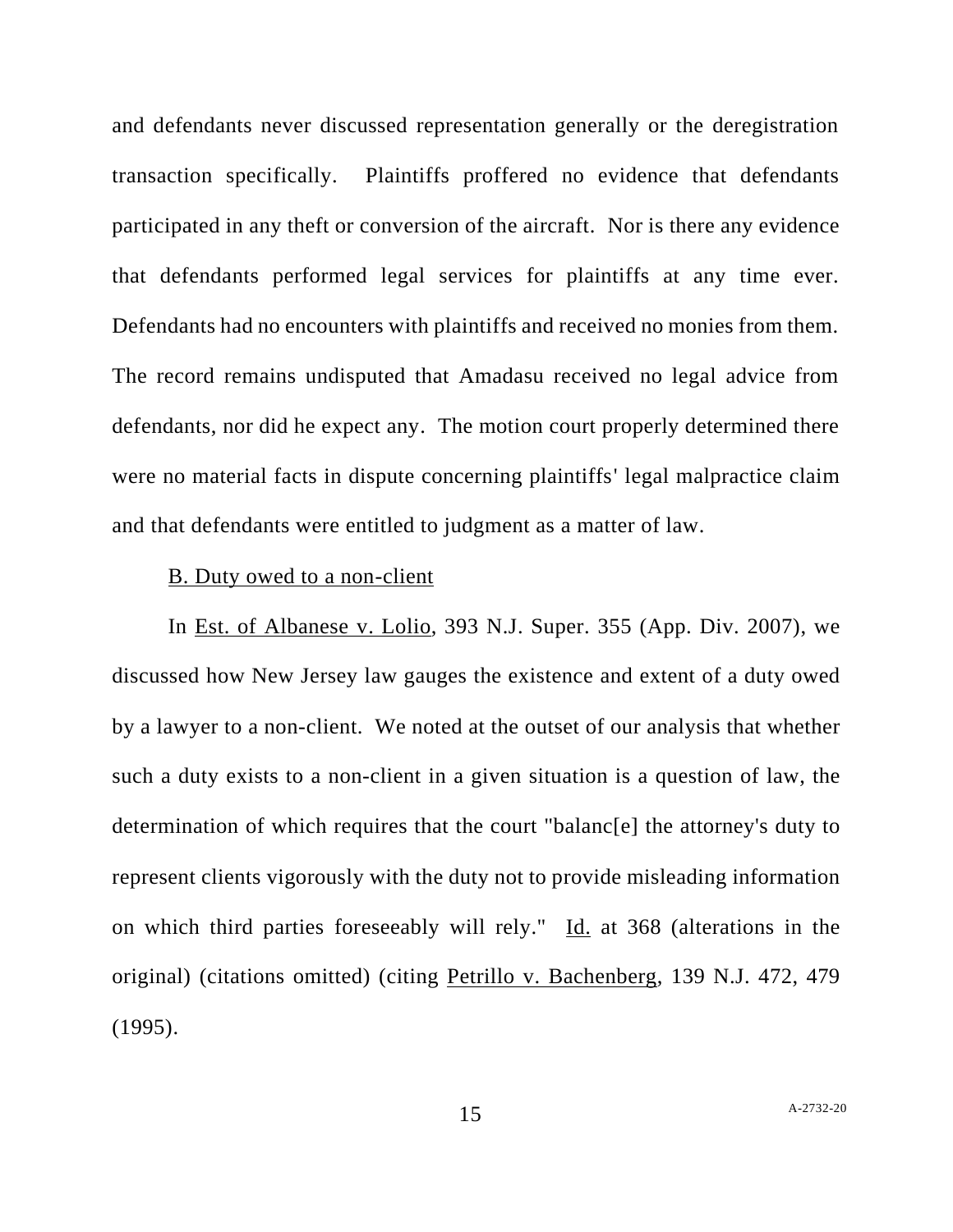and defendants never discussed representation generally or the deregistration transaction specifically. Plaintiffs proffered no evidence that defendants participated in any theft or conversion of the aircraft. Nor is there any evidence that defendants performed legal services for plaintiffs at any time ever. Defendants had no encounters with plaintiffs and received no monies from them. The record remains undisputed that Amadasu received no legal advice from defendants, nor did he expect any. The motion court properly determined there were no material facts in dispute concerning plaintiffs' legal malpractice claim and that defendants were entitled to judgment as a matter of law.

### B. Duty owed to a non-client

In Est. of Albanese v. Lolio, 393 N.J. Super. 355 (App. Div. 2007), we discussed how New Jersey law gauges the existence and extent of a duty owed by a lawyer to a non-client. We noted at the outset of our analysis that whether such a duty exists to a non-client in a given situation is a question of law, the determination of which requires that the court "balanc[e] the attorney's duty to represent clients vigorously with the duty not to provide misleading information on which third parties foreseeably will rely." Id. at 368 (alterations in the original) (citations omitted) (citing Petrillo v. Bachenberg, 139 N.J. 472, 479 (1995).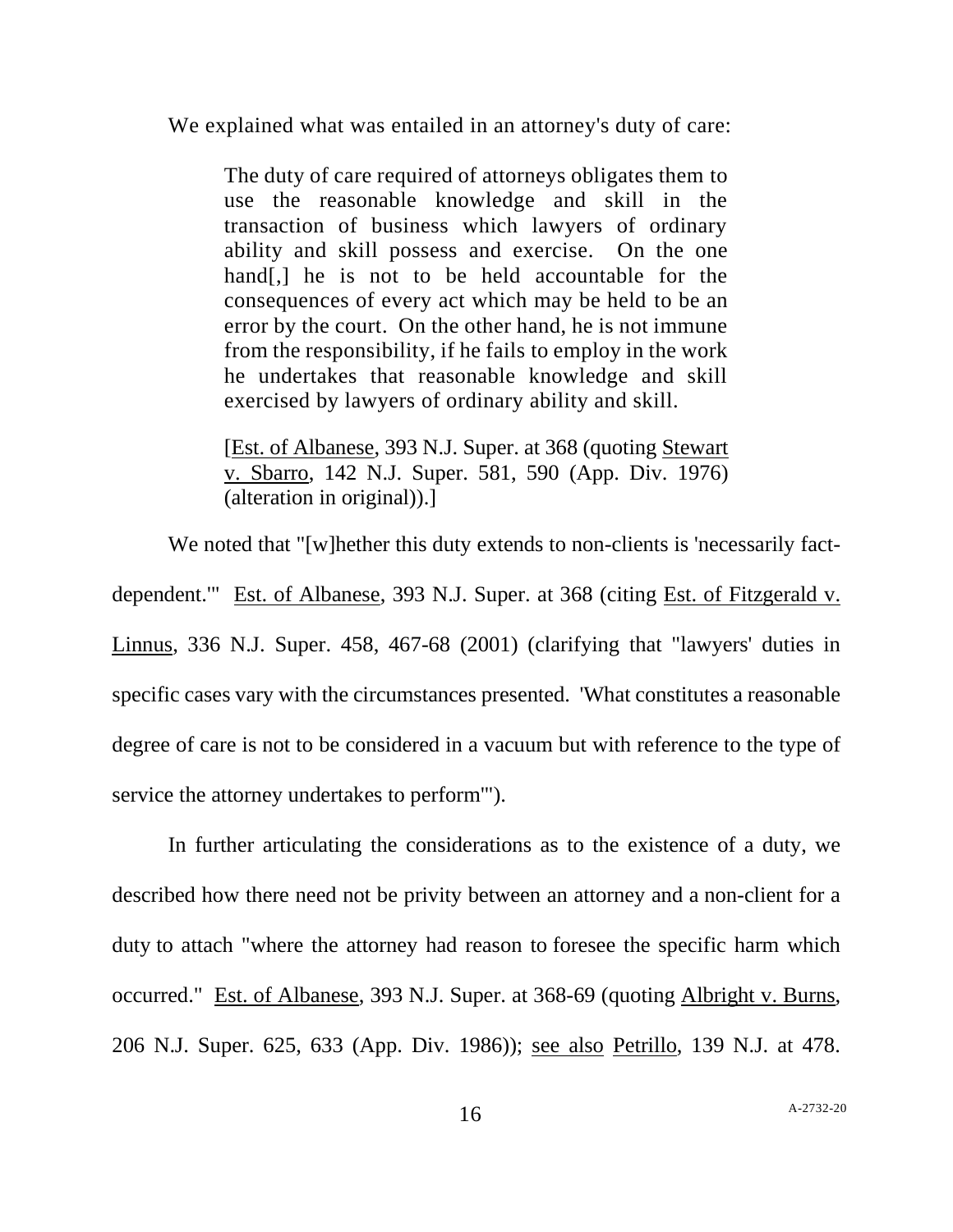We explained what was entailed in an attorney's duty of care:

The duty of care required of attorneys obligates them to use the reasonable knowledge and skill in the transaction of business which lawyers of ordinary ability and skill possess and exercise. On the one hand[,] he is not to be held accountable for the consequences of every act which may be held to be an error by the court. On the other hand, he is not immune from the responsibility, if he fails to employ in the work he undertakes that reasonable knowledge and skill exercised by lawyers of ordinary ability and skill.

[Est. of Albanese, 393 N.J. Super. at 368 (quoting Stewart v. Sbarro, 142 N.J. Super. 581, 590 (App. Div. 1976) (alteration in original)).]

We noted that "[w]hether this duty extends to non-clients is 'necessarily factdependent.'" Est. of Albanese, 393 N.J. Super. at 368 (citing Est. of Fitzgerald v. Linnus, 336 N.J. Super. 458, 467-68 (2001) (clarifying that "lawyers' duties in specific cases vary with the circumstances presented. 'What constitutes a reasonable degree of care is not to be considered in a vacuum but with reference to the type of service the attorney undertakes to perform'").

In further articulating the considerations as to the existence of a duty, we described how there need not be privity between an attorney and a non-client for a duty to attach "where the attorney had reason to foresee the specific harm which occurred." Est. of Albanese, 393 N.J. Super. at 368-69 (quoting Albright v. Burns, 206 N.J. Super. 625, 633 (App. Div. 1986)); see also Petrillo, 139 N.J. at 478.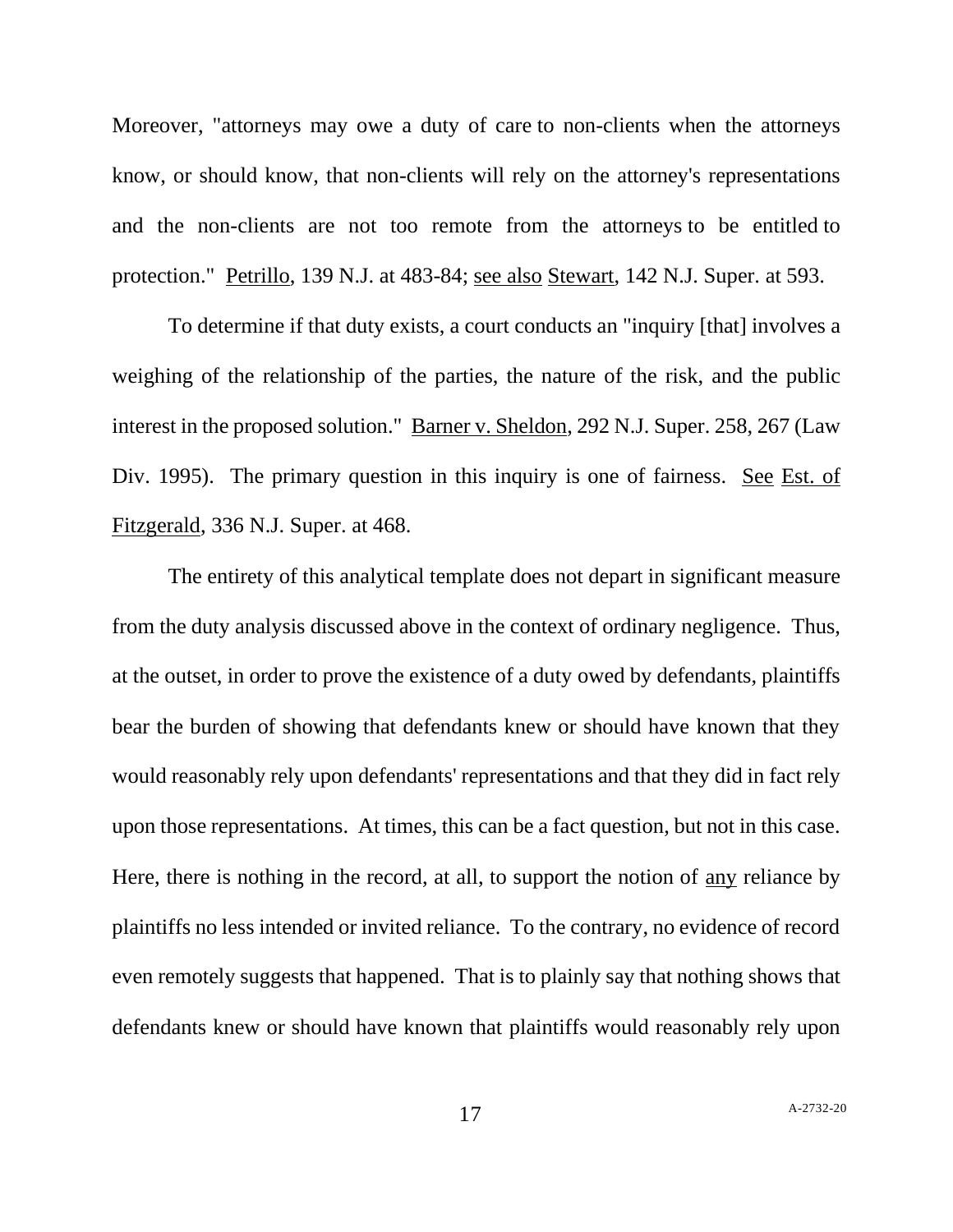Moreover, "attorneys may owe a duty of care to non-clients when the attorneys know, or should know, that non-clients will rely on the attorney's representations and the non-clients are not too remote from the attorneys to be entitled to protection." Petrillo, 139 N.J. at 483-84; see also Stewart, 142 N.J. Super. at 593.

To determine if that duty exists, a court conducts an "inquiry [that] involves a weighing of the relationship of the parties, the nature of the risk, and the public interest in the proposed solution." Barner v. Sheldon, 292 N.J. Super. 258, 267 (Law Div. 1995). The primary question in this inquiry is one of fairness. See Est. of Fitzgerald, 336 N.J. Super. at 468.

The entirety of this analytical template does not depart in significant measure from the duty analysis discussed above in the context of ordinary negligence. Thus, at the outset, in order to prove the existence of a duty owed by defendants, plaintiffs bear the burden of showing that defendants knew or should have known that they would reasonably rely upon defendants' representations and that they did in fact rely upon those representations. At times, this can be a fact question, but not in this case. Here, there is nothing in the record, at all, to support the notion of any reliance by plaintiffs no less intended or invited reliance. To the contrary, no evidence of record even remotely suggests that happened. That is to plainly say that nothing shows that defendants knew or should have known that plaintiffs would reasonably rely upon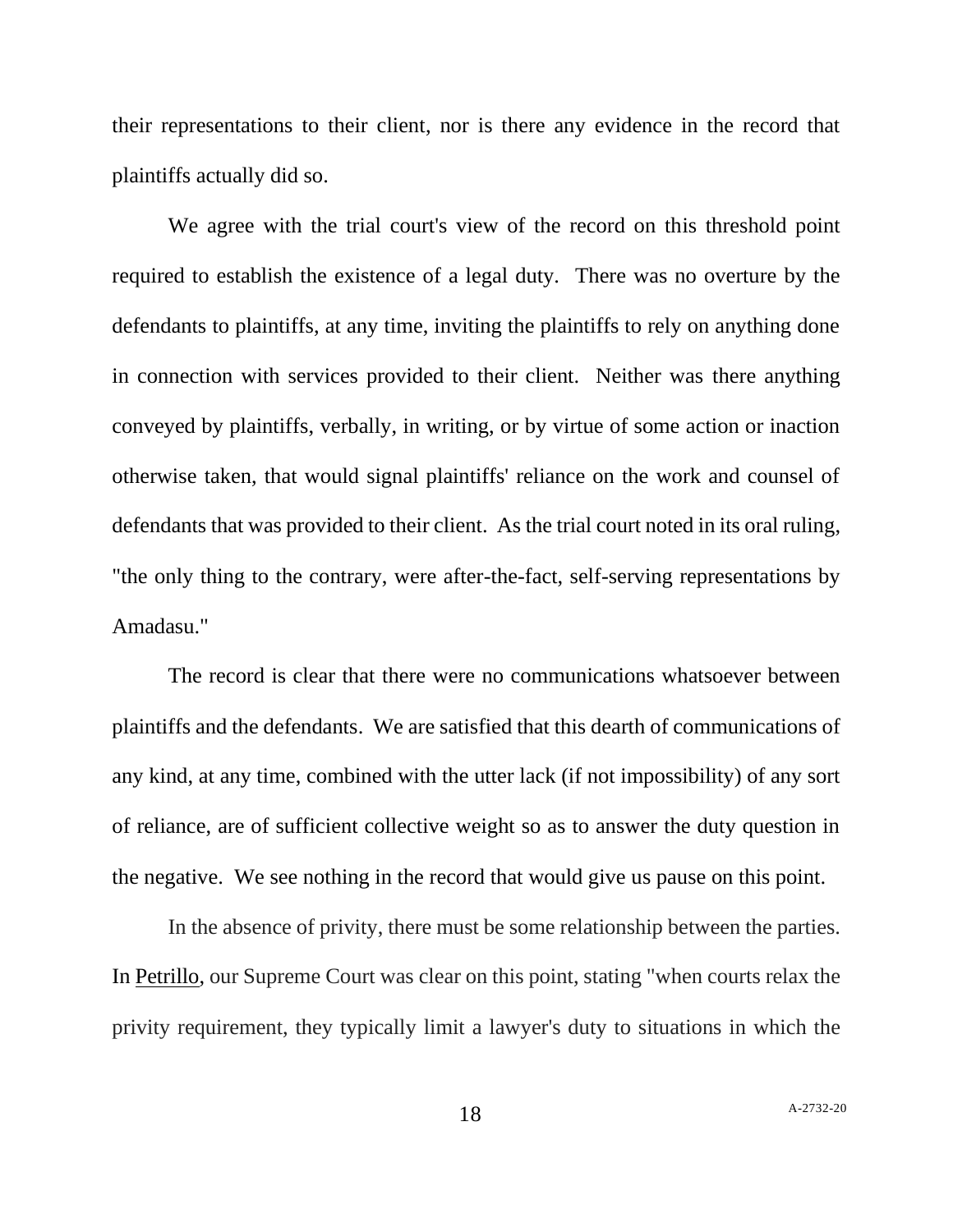their representations to their client, nor is there any evidence in the record that plaintiffs actually did so.

We agree with the trial court's view of the record on this threshold point required to establish the existence of a legal duty. There was no overture by the defendants to plaintiffs, at any time, inviting the plaintiffs to rely on anything done in connection with services provided to their client. Neither was there anything conveyed by plaintiffs, verbally, in writing, or by virtue of some action or inaction otherwise taken, that would signal plaintiffs' reliance on the work and counsel of defendants that was provided to their client. As the trial court noted in its oral ruling, "the only thing to the contrary, were after-the-fact, self-serving representations by Amadasu."

The record is clear that there were no communications whatsoever between plaintiffs and the defendants. We are satisfied that this dearth of communications of any kind, at any time, combined with the utter lack (if not impossibility) of any sort of reliance, are of sufficient collective weight so as to answer the duty question in the negative. We see nothing in the record that would give us pause on this point.

In the absence of privity, there must be some relationship between the parties. In Petrillo, our Supreme Court was clear on this point, stating "when courts relax the privity requirement, they typically limit a lawyer's duty to situations in which the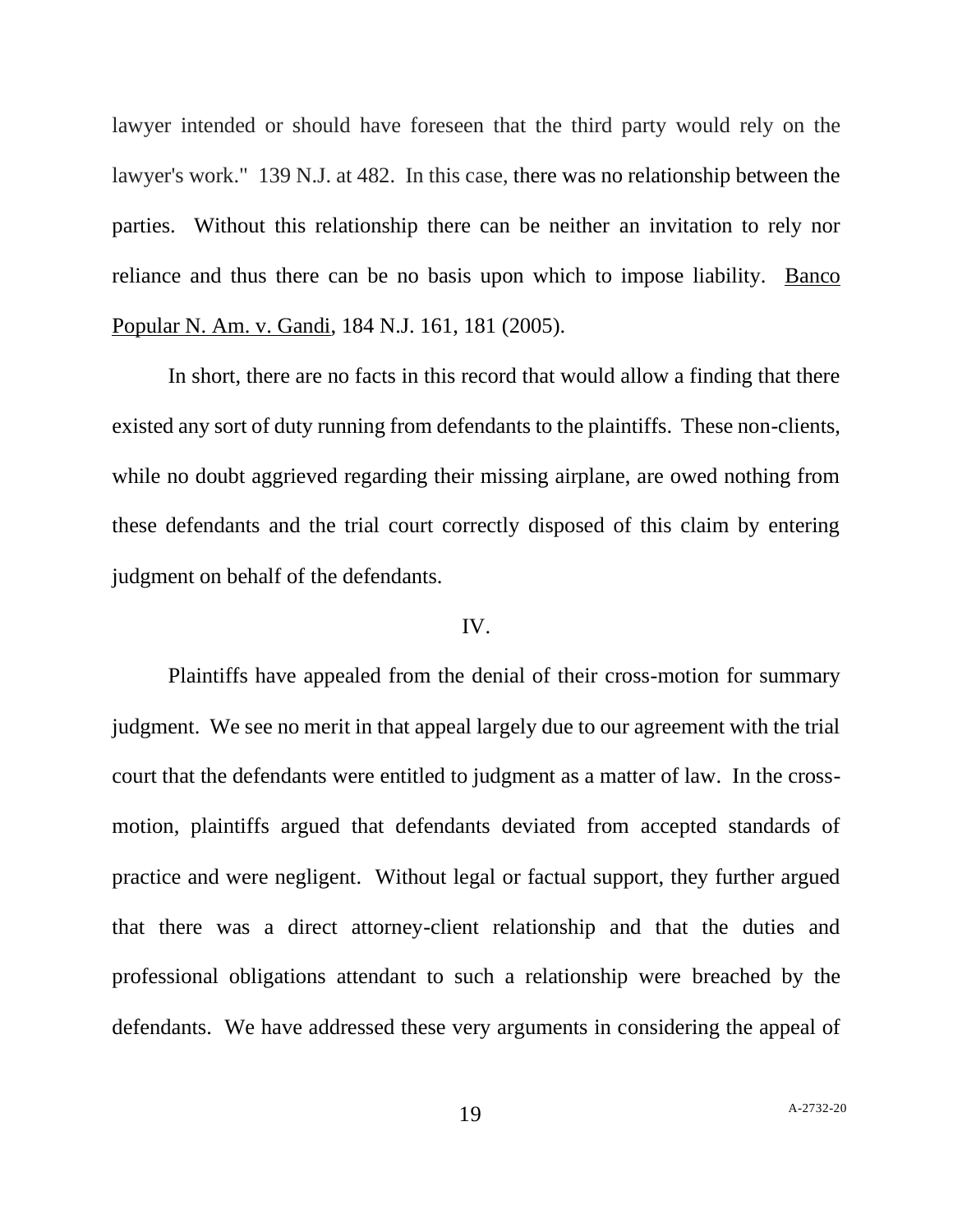lawyer intended or should have foreseen that the third party would rely on the lawyer's work." 139 N.J. at 482. In this case, there was no relationship between the parties. Without this relationship there can be neither an invitation to rely nor reliance and thus there can be no basis upon which to impose liability. Banco Popular N. Am. v. Gandi, 184 N.J. 161, 181 (2005).

In short, there are no facts in this record that would allow a finding that there existed any sort of duty running from defendants to the plaintiffs. These non-clients, while no doubt aggrieved regarding their missing airplane, are owed nothing from these defendants and the trial court correctly disposed of this claim by entering judgment on behalf of the defendants.

## IV.

Plaintiffs have appealed from the denial of their cross-motion for summary judgment. We see no merit in that appeal largely due to our agreement with the trial court that the defendants were entitled to judgment as a matter of law. In the crossmotion, plaintiffs argued that defendants deviated from accepted standards of practice and were negligent. Without legal or factual support, they further argued that there was a direct attorney-client relationship and that the duties and professional obligations attendant to such a relationship were breached by the defendants. We have addressed these very arguments in considering the appeal of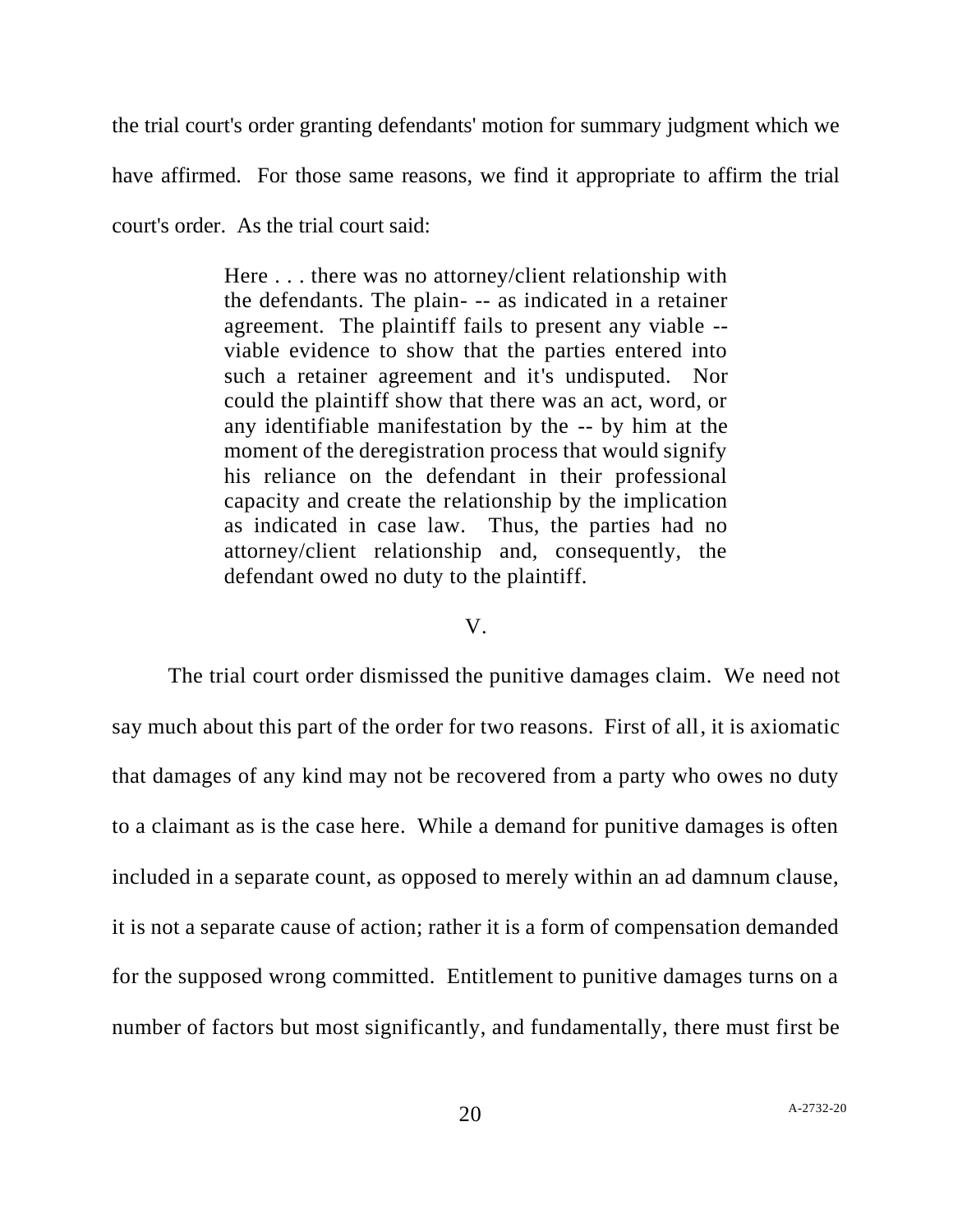the trial court's order granting defendants' motion for summary judgment which we have affirmed. For those same reasons, we find it appropriate to affirm the trial court's order. As the trial court said:

> Here . . . there was no attorney/client relationship with the defendants. The plain- -- as indicated in a retainer agreement. The plaintiff fails to present any viable - viable evidence to show that the parties entered into such a retainer agreement and it's undisputed. Nor could the plaintiff show that there was an act, word, or any identifiable manifestation by the -- by him at the moment of the deregistration process that would signify his reliance on the defendant in their professional capacity and create the relationship by the implication as indicated in case law. Thus, the parties had no attorney/client relationship and, consequently, the defendant owed no duty to the plaintiff.

### V.

The trial court order dismissed the punitive damages claim. We need not say much about this part of the order for two reasons. First of all, it is axiomatic that damages of any kind may not be recovered from a party who owes no duty to a claimant as is the case here. While a demand for punitive damages is often included in a separate count, as opposed to merely within an ad damnum clause, it is not a separate cause of action; rather it is a form of compensation demanded for the supposed wrong committed. Entitlement to punitive damages turns on a number of factors but most significantly, and fundamentally, there must first be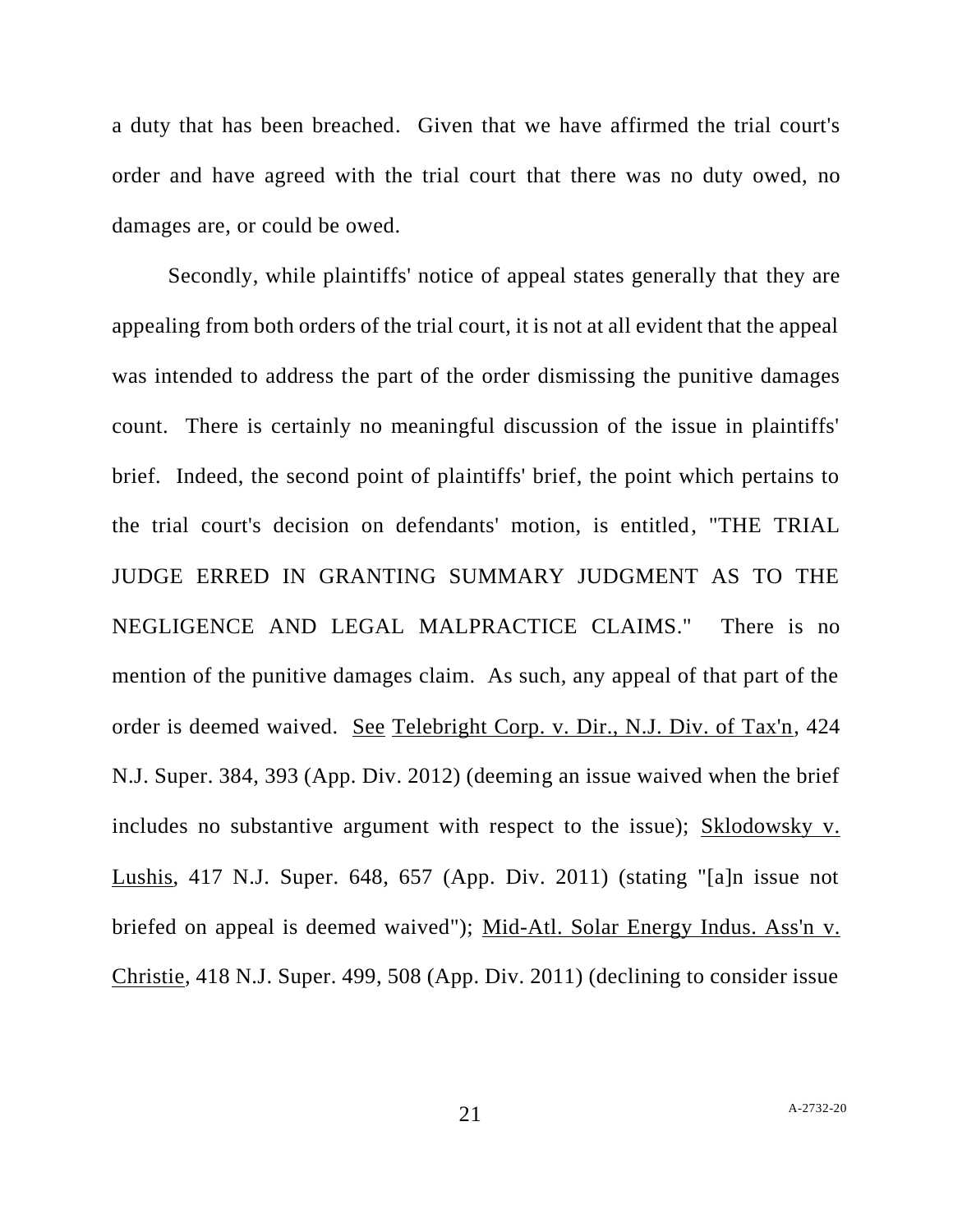a duty that has been breached. Given that we have affirmed the trial court's order and have agreed with the trial court that there was no duty owed, no damages are, or could be owed.

Secondly, while plaintiffs' notice of appeal states generally that they are appealing from both orders of the trial court, it is not at all evident that the appeal was intended to address the part of the order dismissing the punitive damages count. There is certainly no meaningful discussion of the issue in plaintiffs' brief. Indeed, the second point of plaintiffs' brief, the point which pertains to the trial court's decision on defendants' motion, is entitled, "THE TRIAL JUDGE ERRED IN GRANTING SUMMARY JUDGMENT AS TO THE NEGLIGENCE AND LEGAL MALPRACTICE CLAIMS." There is no mention of the punitive damages claim. As such, any appeal of that part of the order is deemed waived. See Telebright Corp. v. Dir., N.J. Div. of Tax'n, 424 N.J. Super. 384, 393 (App. Div. 2012) (deeming an issue waived when the brief includes no substantive argument with respect to the issue); Sklodowsky v. Lushis, 417 N.J. Super. 648, 657 (App. Div. 2011) (stating "[a]n issue not briefed on appeal is deemed waived"); Mid-Atl. Solar Energy Indus. Ass'n v. Christie, 418 N.J. Super. 499, 508 (App. Div. 2011) (declining to consider issue